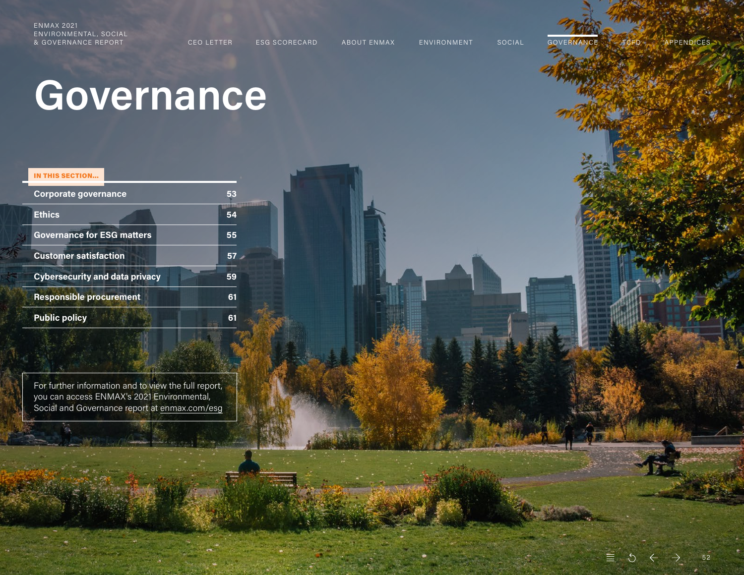<span id="page-0-0"></span>& GOVERNANCE REPORT CEO LETTER ESG SCORECARD ABOUT ENMAX ENVIRONMENT SOCIAL GOVERNANCE TCFD APPENDICES

52

# **Governance**

#### IN THIS SECTION…

| <b>Corporate governance</b>           | 53 |  |
|---------------------------------------|----|--|
| <b>Ethics</b>                         | 54 |  |
| <b>Governance for ESG matters</b>     | 55 |  |
| <b>Customer satisfaction</b>          | 57 |  |
| <b>Cybersecurity and data privacy</b> | 59 |  |
| <b>Responsible procurement</b>        | 61 |  |
| <b>Public policy</b>                  | 61 |  |

For further information and to view the full report, you can access ENMAX's 2021 Environmental, Social and Governance report at [enmax.com/esg](https://www.enmax.com/about-us/sustainability/overview/esg-report)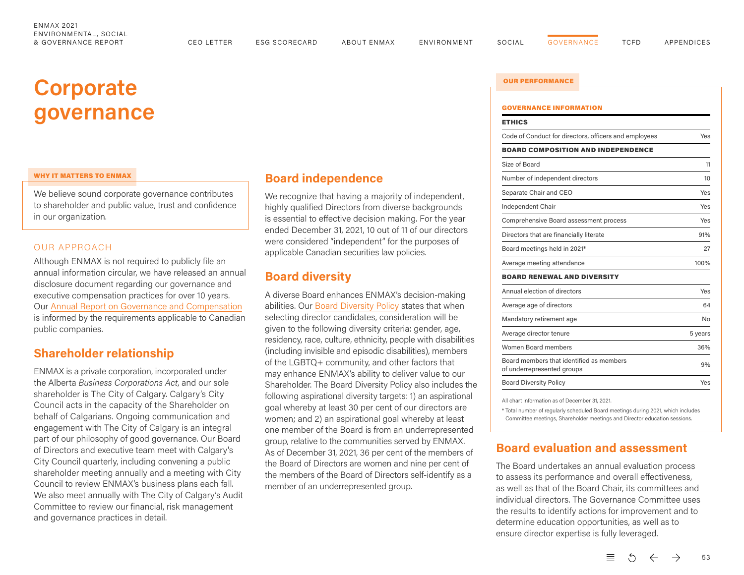# <span id="page-1-0"></span>**Corporate governance INFORMATION**

#### WHY IT MATTERS TO ENMAX

We believe sound corporate governance contributes to shareholder and public value, trust and confidence in our organization.

#### OUR APPROACH

Although ENMAX is not required to publicly file an annual information circular, we have released an annual disclosure document regarding our governance and executive compensation practices for over 10 years. Our [Annual Report on Governance and Compensation](https://www.enmax.com/AboutUsSite/Documents/ENMAX-Annual-Governance-and-Compensation-report-2021.pdf) is informed by the requirements applicable to Canadian public companies.

### **Shareholder relationship**

ENMAX is a private corporation, incorporated under the Alberta *Business Corporations Act*, and our sole shareholder is The City of Calgary. Calgary's City Council acts in the capacity of the Shareholder on behalf of Calgarians. Ongoing communication and engagement with The City of Calgary is an integral part of our philosophy of good governance. Our Board of Directors and executive team meet with Calgary's City Council quarterly, including convening a public shareholder meeting annually and a meeting with City Council to review ENMAX's business plans each fall. We also meet annually with The City of Calgary's Audit Committee to review our financial, risk management and governance practices in detail.

## **Board independence**

We recognize that having a majority of independent, highly qualified Directors from diverse backgrounds is essential to effective decision making. For the year ended December 31, 2021, 10 out of 11 of our directors were considered "independent" for the purposes of applicable Canadian securities law policies.

## **Board diversity**

A diverse Board enhances ENMAX's decision-making abilities. Our [Board Diversity Policy](https://www.enmax.com/AboutUsSite/Documents/Board-Diversity-Policy.pdf
) states that when selecting director candidates, consideration will be given to the following diversity criteria: gender, age, residency, race, culture, ethnicity, people with disabilities (including invisible and episodic disabilities), members of the LGBTQ+ community, and other factors that may enhance ENMAX's ability to deliver value to our Shareholder. The Board Diversity Policy also includes the following aspirational diversity targets: 1) an aspirational goal whereby at least 30 per cent of our directors are women; and 2) an aspirational goal whereby at least one member of the Board is from an underrepresented group, relative to the communities served by ENMAX. As of December 31, 2021, 36 per cent of the members of the Board of Directors are women and nine per cent of the members of the Board of Directors self-identify as a member of an underrepresented group.

# OUR PERFORMANCE

# ETHICS Code of Conduct for directors, officers and employees Yes BOARD COMPOSITION AND INDEPENDENCE Size of Board 11 Number of independent directors 10 Separate Chair and CEO Yes Independent Chair Yes Comprehensive Board assessment process Yes Directors that are financially literate example 31% Board meetings held in 2021\* 27 Average meeting attendance 100% BOARD RENEWAL AND DIVERSITY Annual election of directors **Yes** Average age of directors 64 Mandatory retirement age No Average director tenure 6 years 5 years Women Board members 36% Board members that identified as members of underrepresented groups 9% Board Diversity Policy **Yes**

All chart information as of December 31, 2021.

\* Total number of regularly scheduled Board meetings during 2021, which includes Committee meetings, Shareholder meetings and Director education sessions.

# **Board evaluation and assessment**

The Board undertakes an annual evaluation process to assess its performance and overall effectiveness, as well as that of the Board Chair, its committees and individual directors. The Governance Committee uses the results to identify actions for improvement and to determine education opportunities, as well as to ensure director expertise is fully leveraged.

> $\epsilon \equiv 0$  $\leftarrow$  $\rightarrow$ 53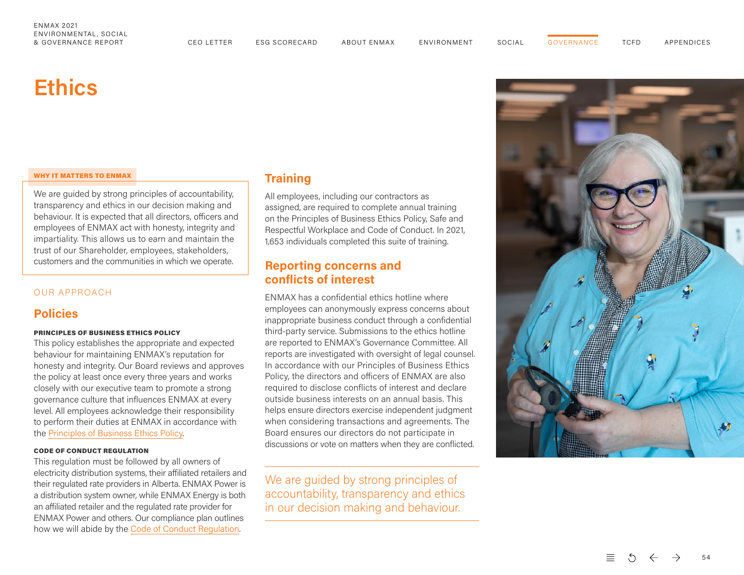**[GOVERNANCE](#page-0-0)** 

# <span id="page-2-0"></span>**Ethics**

#### WHY IT MATTERS TO ENMAX

We are guided by strong principles of accountability, transparency and ethics in our decision making and behaviour. It is expected that all directors, officers and employees of ENMAX act with honesty, integrity and impartiality. This allows us to earn and maintain the trust of our Shareholder, employees, stakeholders, customers and the communities in which we operate.

#### OUR APPROACH

## **Policies**

#### PRINCIPLES OF BUSINESS ETHICS POLICY

This policy establishes the appropriate and expected behaviour for maintaining ENMAX's reputation for honesty and integrity. Our Board reviews and approves the policy at least once every three years and works closely with our executive team to promote a strong governance culture that influences ENMAX at every level. All employees acknowledge their responsibility to perform their duties at ENMAX in accordance with the [Principles of Business Ethics Policy](https://www.enmax.com/AboutUsSite/Documents/Principles-of-Business-Ethics-Policy.pdf) .

#### CODE OF CONDUCT REGULATION

This regulation must be followed by all owners of electricity distribution systems, their affiliated retailers and their regulated rate providers in Alberta. ENMAX Power is a distribution system owner, while ENMAX Energy is both an affiliated retailer and the regulated rate provider for ENMAX Power and others. Our compliance plan outlines how we will abide by the [Code of Conduct Regulation](https://www.enmax.com/AboutUsSite/Documents/ENMAX_Code_of_Conduct_Compliance_Plan_effective_2021-04-01.pdf) .

# **Training**

All employees, including our contractors as assigned, are required to complete annual training on the Principles of Business Ethics Policy, Safe and Respectful Workplace and Code of Conduct. In 2021, 1,653 individuals completed this suite of training.

# **Reporting concerns and conflicts of interest**

ENMAX has a confidential ethics hotline where employees can anonymously express concerns about inappropriate business conduct through a confidential third-party service. Submissions to the ethics hotline are reported to ENMAX's Governance Committee. All reports are investigated with oversight of legal counsel. In accordance with our Principles of Business Ethics Policy, the directors and officers of ENMAX are also required to disclose conflicts of interest and declare outside business interests on an annual basis. This helps ensure directors exercise independent judgment when considering transactions and agreements. The Board ensures our directors do not participate in discussions or vote on matters when they are conflicted.

We are guided by strong principles of accountability, transparency and ethics in our decision making and behaviour.

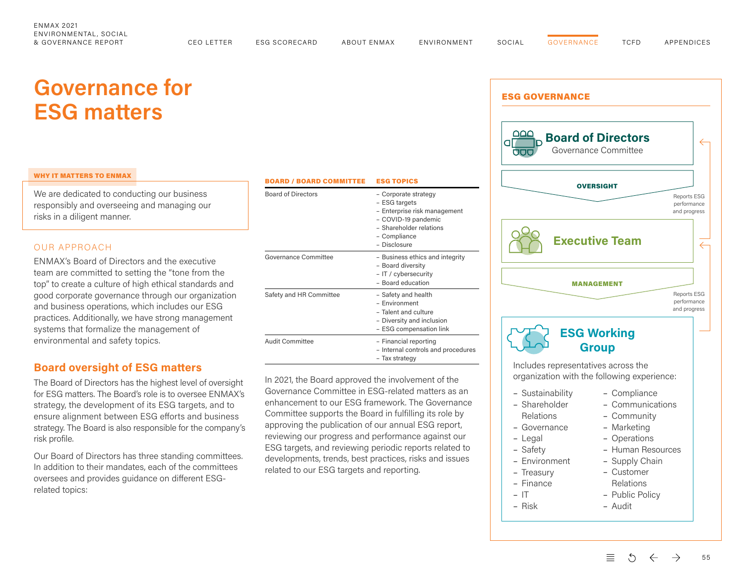# <span id="page-3-0"></span>**Governance for ESG matters**

#### WHY IT MATTERS TO ENMAX

We are dedicated to conducting our business responsibly and overseeing and managing our risks in a diligent manner.

#### OUR APPROACH

ENMAX's Board of Directors and the executive team are committed to setting the "tone from the top" to create a culture of high ethical standards and good corporate governance through our organization and business operations, which includes our ESG practices. Additionally, we have strong management systems that formalize the management of environmental and safety topics.

### **Board oversight of ESG matters**

The Board of Directors has the highest level of oversight for ESG matters. The Board's role is to oversee ENMAX's strategy, the development of its ESG targets, and to ensure alignment between ESG efforts and business strategy. The Board is also responsible for the company's risk profile.

Our Board of Directors has three standing committees. In addition to their mandates, each of the committees oversees and provides guidance on different ESGrelated topics:

| <b>BOARD / BOARD COMMITTEE</b> | <b>ESG TOPICS</b>                                                                                                                                       |
|--------------------------------|---------------------------------------------------------------------------------------------------------------------------------------------------------|
| <b>Board of Directors</b>      | - Corporate strategy<br>- ESG targets<br>- Enterprise risk management<br>- COVID-19 pandemic<br>- Shareholder relations<br>- Compliance<br>- Disclosure |
| Governance Committee           | - Business ethics and integrity<br>- Board diversity<br>- IT / cybersecurity<br>- Board education                                                       |
| Safety and HR Committee        | - Safety and health<br>- Environment<br>- Talent and culture<br>- Diversity and inclusion<br>- ESG compensation link                                    |
| <b>Audit Committee</b>         | - Financial reporting<br>- Internal controls and procedures<br>- Tax strategy                                                                           |

In 2021, the Board approved the involvement of the Governance Committee in ESG-related matters as an enhancement to our ESG framework. The Governance Committee supports the Board in fulfilling its role by approving the publication of our annual ESG report, reviewing our progress and performance against our ESG targets, and reviewing periodic reports related to developments, trends, best practices, risks and issues related to our ESG targets and reporting.



- Public Policy
- Audit

 $\equiv$ 

 $-$  IT – Risk

> $\bigcirc$ 55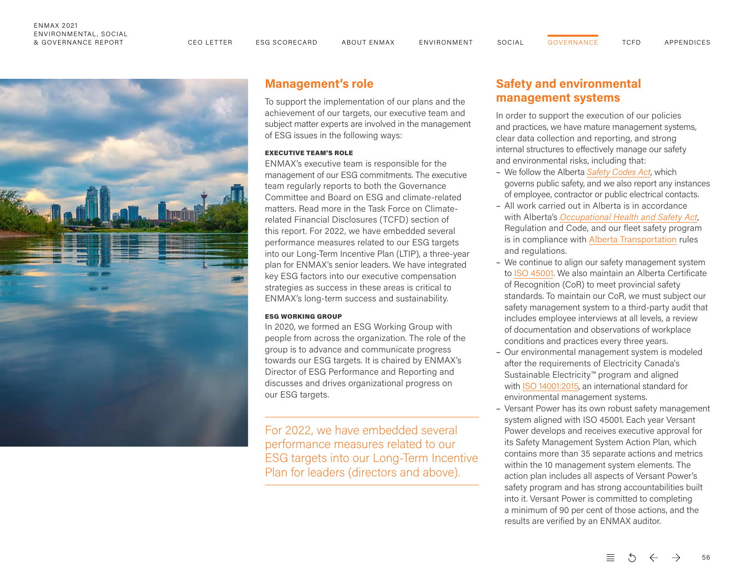## ENMAX 2021 ENVIRONMENTAL, SOCIAL

& GOVERNANCE REPORT CEO LETTER ESG SCORECARD ABOUT ENMAX ENVIRONMENT SOCIAL TCFD APPENDICES



# **Management's role**

To support the implementation of our plans and the achievement of our targets, our executive team and subject matter experts are involved in the management of ESG issues in the following ways:

#### EXECUTIVE TEAM'S ROLE

ENMAX's executive team is responsible for the management of our ESG commitments. The executive team regularly reports to both the Governance Committee and Board on ESG and climate-related matters. Read more in the Task Force on Climaterelated Financial Disclosures (TCFD) section of this report. For 2022, we have embedded several performance measures related to our ESG targets into our Long-Term Incentive Plan (LTIP), a three-year plan for ENMAX's senior leaders. We have integrated key ESG factors into our executive compensation strategies as success in these areas is critical to ENMAX's long-term success and sustainability.

#### ESG WORKING GROUP

In 2020, we formed an ESG Working Group with people from across the organization. The role of the group is to advance and communicate progress towards our ESG targets. It is chaired by ENMAX's Director of ESG Performance and Reporting and discusses and drives organizational progress on our ESG targets.

For 2022, we have embedded several performance measures related to our ESG targets into our Long-Term Incentive Plan for leaders (directors and above).

# **Safety and environmental management systems**

In order to support the execution of our policies and practices, we have mature management systems, clear data collection and reporting, and strong internal structures to effectively manage our safety and environmental risks, including that:

- We follow the Alberta *[Safety Codes Act](https://www.qp.alberta.ca/documents/Acts/S01.pdf)*, which governs public safety, and we also report any instances of employee, contractor or public electrical contacts.
- All work carried out in Alberta is in accordance with Alberta's *[Occupational Health and Safety Act](https://www.qp.alberta.ca/documents/OHS/OHSCode.pdf)*, Regulation and Code, and our fleet safety program is in compliance with [Alberta Transportation](https://www.alberta.ca/commercial-transportation.aspx ) rules and regulations.
- We continue to align our safety management system to [ISO 45001.](https://www.iso.org/iso-45001-occupational-health-and-safety.html) We also maintain an Alberta Certificate of Recognition (CoR) to meet provincial safety standards. To maintain our CoR, we must subject our safety management system to a third-party audit that includes employee interviews at all levels, a review of documentation and observations of workplace conditions and practices every three years.
- Our environmental management system is modeled after the requirements of Electricity Canada's Sustainable Electricity™ program and aligned with [ISO 14001:2015,](https://www.iso.org/iso-14001-environmental-management.html) an international standard for environmental management systems.
- Versant Power has its own robust safety management system aligned with ISO 45001. Each year Versant Power develops and receives executive approval for its Safety Management System Action Plan, which contains more than 35 separate actions and metrics within the 10 management system elements. The action plan includes all aspects of Versant Power's safety program and has strong accountabilities built into it. Versant Power is committed to completing a minimum of 90 per cent of those actions, and the results are verified by an ENMAX auditor.

三 56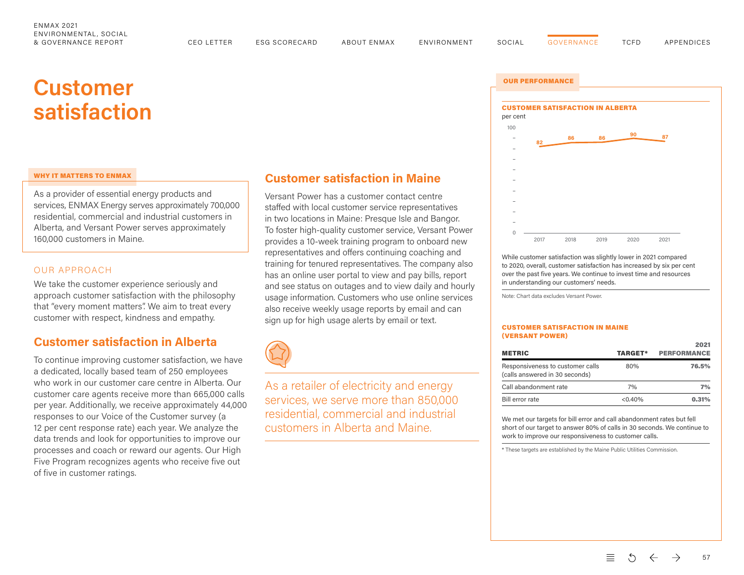# **Customer**

#### WHY IT MATTERS TO ENMAX

As a provider of essential energy products and services, ENMAX Energy serves approximately 700,000 residential, commercial and industrial customers in Alberta, and Versant Power serves approximately 160,000 customers in Maine.

#### OUR APPROACH

We take the customer experience seriously and approach customer satisfaction with the philosophy that "every moment matters". We aim to treat every customer with respect, kindness and empathy.

## **Customer satisfaction in Alberta**

To continue improving customer satisfaction, we have a dedicated, locally based team of 250 employees who work in our customer care centre in Alberta. Our customer care agents receive more than 665,000 calls per year. Additionally, we receive approximately 44,000 responses to our Voice of the Customer survey (a 12 per cent response rate) each year. We analyze the data trends and look for opportunities to improve our processes and coach or reward our agents. Our High Five Program recognizes agents who receive five out of five in customer ratings.

## **Customer satisfaction in Maine**

Versant Power has a customer contact centre staffed with local customer service representatives in two locations in Maine: Presque Isle and Bangor. To foster high-quality customer service, Versant Power provides a 10-week training program to onboard new representatives and offers continuing coaching and training for tenured representatives. The company also has an online user portal to view and pay bills, report and see status on outages and to view daily and hourly usage information. Customers who use online services also receive weekly usage reports by email and can sign up for high usage alerts by email or text.



As a retailer of electricity and energy services, we serve more than 850,000 residential, commercial and industrial customers in Alberta and Maine.

<span id="page-5-0"></span>

While customer satisfaction was slightly lower in 2021 compared to 2020, overall, customer satisfaction has increased by six per cent over the past five years. We continue to invest time and resources in understanding our customers' needs.

Note: Chart data excludes Versant Power.

#### CUSTOMER SATISFACTION IN MAINE (VERSANT POWER)

| <b>METRIC</b>                                                      | <b>TARGET*</b> | 2021<br><b>PERFORMANCE</b> |
|--------------------------------------------------------------------|----------------|----------------------------|
| Responsiveness to customer calls<br>(calls answered in 30 seconds) | 80%            | 76.5%                      |
| Call abandonment rate                                              | 7%             | 7%                         |
| Bill error rate                                                    | $< 0.40\%$     | 0.31%                      |

We met our targets for bill error and call abandonment rates but fell short of our target to answer 80% of calls in 30 seconds. We continue to work to improve our responsiveness to customer calls.

\* These targets are established by the Maine Public Utilities Commission.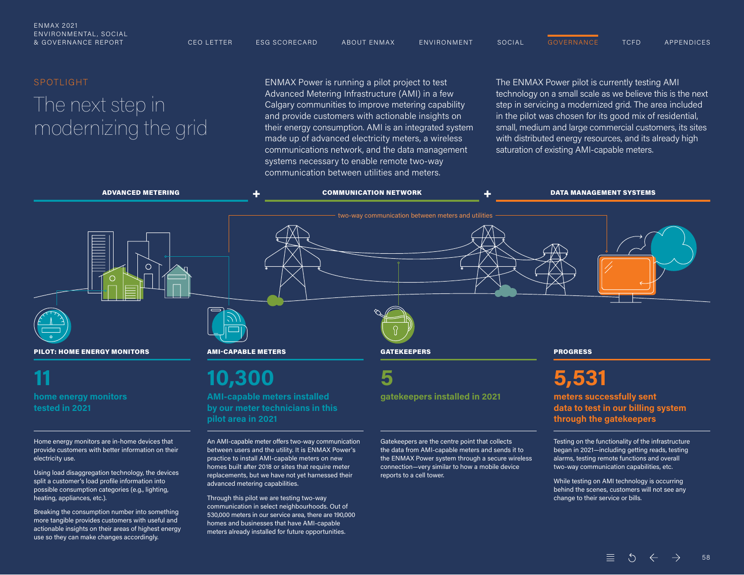#### SPOTLIGHT

# The next step in modernizing the grid

ENMAX Power is running a pilot project to test Advanced Metering Infrastructure (AMI) in a few Calgary communities to improve metering capability and provide customers with actionable insights on their energy consumption. AMI is an integrated system made up of advanced electricity meters, a wireless communications network, and the data management systems necessary to enable remote two-way communication between utilities and meters.

The ENMAX Power pilot is currently testing AMI technology on a small scale as we believe this is the next step in servicing a modernized grid. The area included in the pilot was chosen for its good mix of residential, small, medium and large commercial customers, its sites with distributed energy resources, and its already high saturation of existing AMI-capable meters.



Using load disaggregation technology, the devices split a customer's load profile information into possible consumption categories (e.g., lighting, heating, appliances, etc.).

Breaking the consumption number into something more tangible provides customers with useful and actionable insights on their areas of highest energy use so they can make changes accordingly.

practice to install AMI-capable meters on new homes built after 2018 or sites that require meter

replacements, but we have not yet harnessed their

advanced metering capabilities.

Through this pilot we are testing two-way communication in select neighbourhoods. Out of 530,000 meters in our service area, there are 190,000 homes and businesses that have AMI-capable meters already installed for future opportunities.

the ENMAX Power system through a secure wireless connection—very similar to how a mobile device reports to a cell tower.

#### $\vec{c}$  = 58

two-way communication capabilities, etc. While testing on AMI technology is occurring behind the scenes, customers will not see any

change to their service or bills.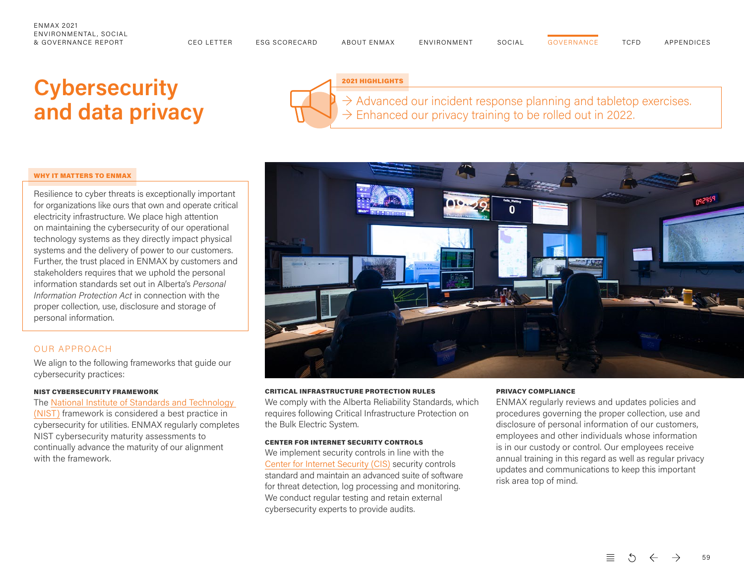# <span id="page-7-0"></span>**Cybersecurity and data privacy**



2021 HIGHLIGHTS

 $\rightarrow$  Advanced our incident response planning and tabletop exercises.  $\rightarrow$  Enhanced our privacy training to be rolled out in 2022.

#### WHY IT MATTERS TO ENMAX

Resilience to cyber threats is exceptionally important for organizations like ours that own and operate critical electricity infrastructure. We place high attention on maintaining the cybersecurity of our operational technology systems as they directly impact physical systems and the delivery of power to our customers. Further, the trust placed in ENMAX by customers and stakeholders requires that we uphold the personal information standards set out in Alberta's *Personal Information Protection Act* in connection with the proper collection, use, disclosure and storage of personal information.

#### OUR APPROACH

We align to the following frameworks that guide our cybersecurity practices:

#### NIST CYBERSECURITY FRAMEWORK

The [National Institute of Standards and Technology](https://www.nist.gov/cyberframework)  (NIST) framework is considered a best practice in cybersecurity for utilities. ENMAX regularly completes NIST cybersecurity maturity assessments to continually advance the maturity of our alignment with the framework.



#### CRITICAL INFRASTRUCTURE PROTECTION RULES

We comply with the Alberta Reliability Standards, which requires following Critical Infrastructure Protection on the Bulk Electric System.

#### CENTER FOR INTERNET SECURITY CONTROLS

We implement security controls in line with the [Center for Internet Security \(CIS\)](https://www.cisecurity.org/) security controls standard and maintain an advanced suite of software for threat detection, log processing and monitoring. We conduct regular testing and retain external cybersecurity experts to provide audits.

#### PRIVACY COMPLIANCE

ENMAX regularly reviews and updates policies and procedures governing the proper collection, use and disclosure of personal information of our customers, employees and other individuals whose information is in our custody or control. Our employees receive annual training in this regard as well as regular privacy updates and communications to keep this important risk area top of mind.

59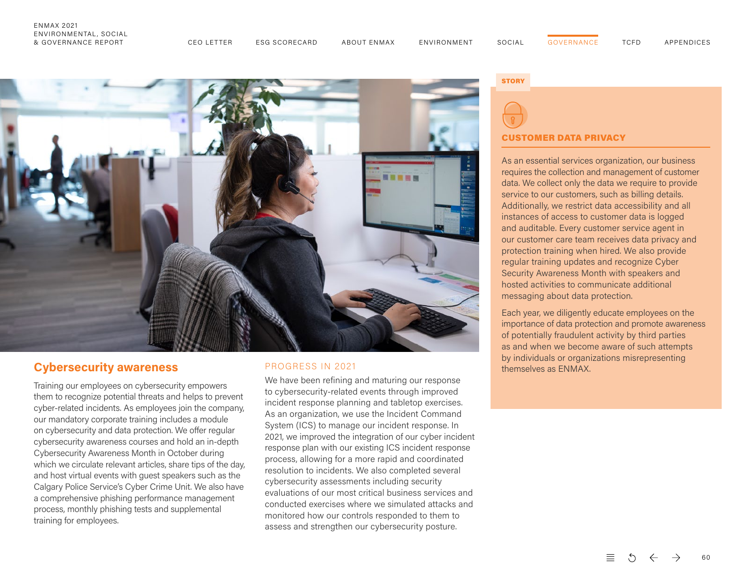

# **Cybersecurity awareness**

Training our employees on cybersecurity empowers them to recognize potential threats and helps to prevent cyber-related incidents. As employees join the company, our mandatory corporate training includes a module on cybersecurity and data protection. We offer regular cybersecurity awareness courses and hold an in-depth Cybersecurity Awareness Month in October during which we circulate relevant articles, share tips of the day, and host virtual events with guest speakers such as the Calgary Police Service's Cyber Crime Unit. We also have a comprehensive phishing performance management process, monthly phishing tests and supplemental training for employees.

#### PROGRESS IN 2021

We have been refining and maturing our response to cybersecurity-related events through improved incident response planning and tabletop exercises. As an organization, we use the Incident Command System (ICS) to manage our incident response. In 2021, we improved the integration of our cyber incident response plan with our existing ICS incident response process, allowing for a more rapid and coordinated resolution to incidents. We also completed several cybersecurity assessments including security evaluations of our most critical business services and conducted exercises where we simulated attacks and monitored how our controls responded to them to assess and strengthen our cybersecurity posture.

#### **STORY**



#### CUSTOMER DATA PRIVACY

As an essential services organization, our business requires the collection and management of customer data. We collect only the data we require to provide service to our customers, such as billing details. Additionally, we restrict data accessibility and all instances of access to customer data is logged and auditable. Every customer service agent in our customer care team receives data privacy and protection training when hired. We also provide regular training updates and recognize Cyber Security Awareness Month with speakers and hosted activities to communicate additional messaging about data protection.

Each year, we diligently educate employees on the importance of data protection and promote awareness of potentially fraudulent activity by third parties as and when we become aware of such attempts by individuals or organizations misrepresenting themselves as ENMAX.